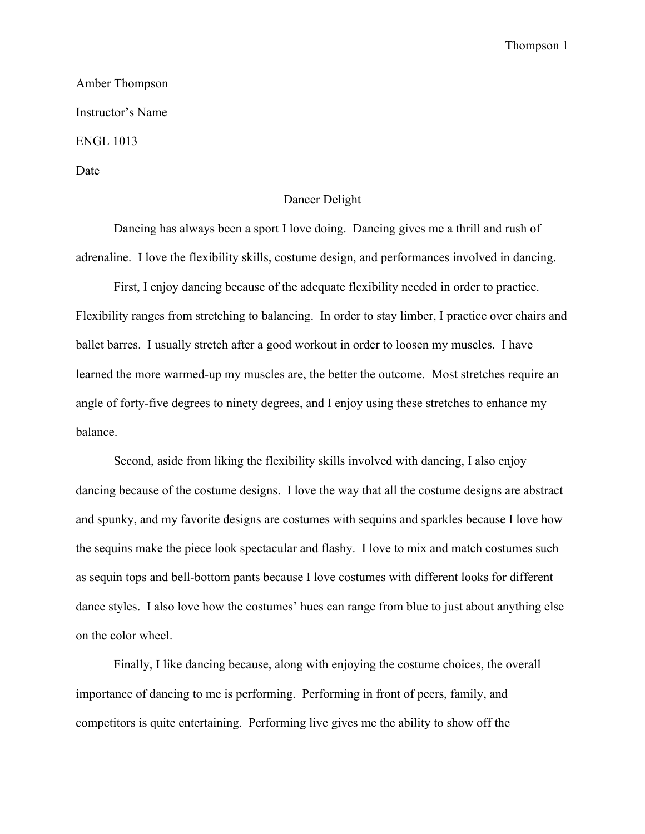## Thompson 1

Amber Thompson Instructor's Name ENGL 1013 Date

## Dancer Delight

Dancing has always been a sport I love doing. Dancing gives me a thrill and rush of adrenaline. I love the flexibility skills, costume design, and performances involved in dancing.

First, I enjoy dancing because of the adequate flexibility needed in order to practice. Flexibility ranges from stretching to balancing. In order to stay limber, I practice over chairs and ballet barres. I usually stretch after a good workout in order to loosen my muscles. I have learned the more warmed-up my muscles are, the better the outcome. Most stretches require an angle of forty-five degrees to ninety degrees, and I enjoy using these stretches to enhance my balance.

Second, aside from liking the flexibility skills involved with dancing, I also enjoy dancing because of the costume designs. I love the way that all the costume designs are abstract and spunky, and my favorite designs are costumes with sequins and sparkles because I love how the sequins make the piece look spectacular and flashy. I love to mix and match costumes such as sequin tops and bell-bottom pants because I love costumes with different looks for different dance styles. I also love how the costumes' hues can range from blue to just about anything else on the color wheel.

Finally, I like dancing because, along with enjoying the costume choices, the overall importance of dancing to me is performing. Performing in front of peers, family, and competitors is quite entertaining. Performing live gives me the ability to show off the